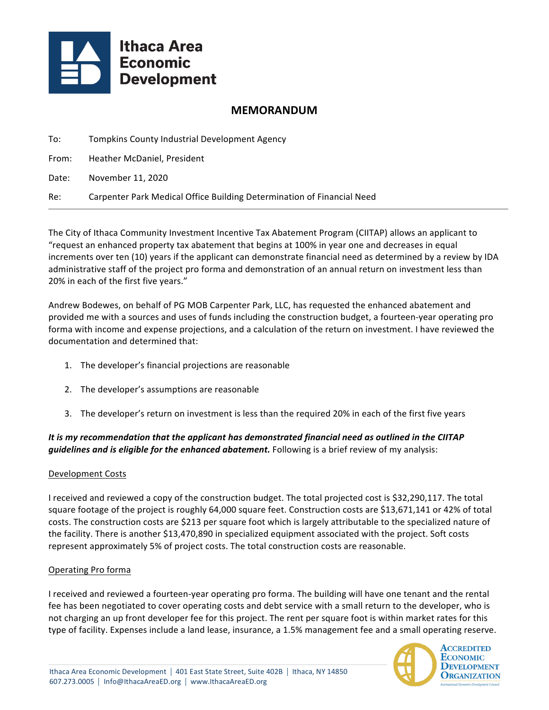

# **MEMORANDUM**

| To:   | Tompkins County Industrial Development Agency                          |
|-------|------------------------------------------------------------------------|
| From: | Heather McDaniel, President                                            |
| Date: | November 11, 2020                                                      |
| Re:   | Carpenter Park Medical Office Building Determination of Financial Need |

The City of Ithaca Community Investment Incentive Tax Abatement Program (CIITAP) allows an applicant to "request an enhanced property tax abatement that begins at 100% in year one and decreases in equal increments over ten (10) years if the applicant can demonstrate financial need as determined by a review by IDA administrative staff of the project pro forma and demonstration of an annual return on investment less than 20% in each of the first five years."

Andrew Bodewes, on behalf of PG MOB Carpenter Park, LLC, has requested the enhanced abatement and provided me with a sources and uses of funds including the construction budget, a fourteen-year operating pro forma with income and expense projections, and a calculation of the return on investment. I have reviewed the documentation and determined that:

- 1. The developer's financial projections are reasonable
- 2. The developer's assumptions are reasonable
- 3. The developer's return on investment is less than the required 20% in each of the first five years

## It is my recommendation that the applicant has demonstrated financial need as outlined in the CIITAP *guidelines and is eligible for the enhanced abatement.* Following is a brief review of my analysis:

#### Development Costs

I received and reviewed a copy of the construction budget. The total projected cost is \$32,290,117. The total square footage of the project is roughly 64,000 square feet. Construction costs are \$13,671,141 or 42% of total costs. The construction costs are \$213 per square foot which is largely attributable to the specialized nature of the facility. There is another \$13,470,890 in specialized equipment associated with the project. Soft costs represent approximately 5% of project costs. The total construction costs are reasonable.

#### Operating Pro forma

I received and reviewed a fourteen-year operating pro forma. The building will have one tenant and the rental fee has been negotiated to cover operating costs and debt service with a small return to the developer, who is not charging an up front developer fee for this project. The rent per square foot is within market rates for this type of facility. Expenses include a land lease, insurance, a 1.5% management fee and a small operating reserve.